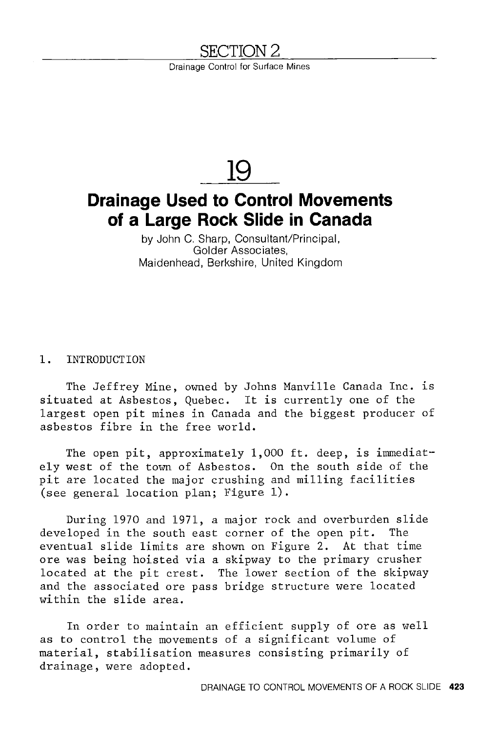# <u>SECTION 2</u>

Drainage Control for Surface Mines

# **19**

# **Drainage Used to Control Movements of a Large Rock Slide in Canada**

by John C. Sharp, Consultant/Principal, Golder Associates, Maidenhead, Berkshire, United Kingdom

#### 1. INTRODUCTION

The Jeffrey Mine, owned by Johns Manville Canada Inc. is situated at Asbestos, Quebec. It is currently one of the largest open pit mines in Canada and the biggest producer of asbestos fibre in the free world.

The open pit, approximately  $1,000$  ft. deep, is immediately west of the town of Asbestos. On the south side of the pit are located the major crushing and milling facilities (see general location plan; Figure 1).

During 1970 and 1971, a major rock and overburden slide developed in the south east corner of the open pit. The eventual slide limits are shown on Figure 2. At that time ore was being hoisted via a skipway to the primary crusher located at the pit crest. The lower section of the skipway and the associated ore pass bridge structure were located within the slide area.

In order to maintain an efficient supply of ore as well as to control the movements of a significant volume of material, stabilisation measures consisting primarily of drainage, were adopted.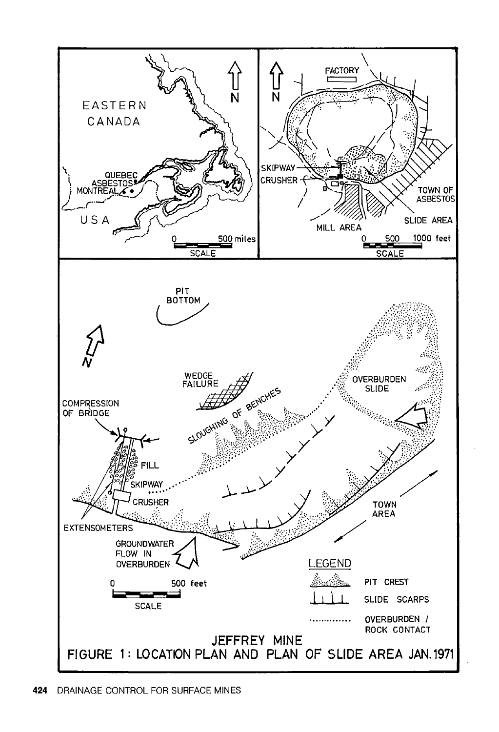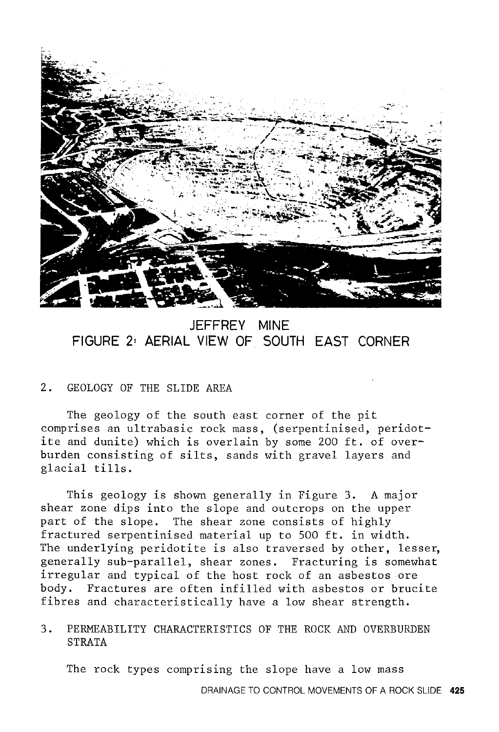

### **JEFFREY MINE FIGURE 2• AERIAL VIEW OF SOUTH EAST CORNER**

#### 2. GEOLOGY OF THE SLIDE AREA

The geology of the south east corner of the pit comprises an ultrabasic rock mass, (serpentinised, peridotite and dunite) which is overlain by some 200 ft. of overburden consisting of silts, sands with gravel layers and glacial tills.

This geology is shown generally in Figure 3. A major shear zone dips into the slope and outcrops on the upper part of the slope. The shear zone consists of highly fractured serpentinised material up to 500 ft. in width. The underlying peridotite is also traversed by other, lesser, generally sub-parallel, shear zones. Fracturing is somewhat irregular and typical of the host rock of an asbestos ore body. Fractures are often infilled with asbestos or brucite fibres and characteristically have a low shear strength.

3. PERMEABILITY CHARACTERISTICS OF THE ROCK AND OVERBURDEN STRATA

The rock types comprising the slope have a low mass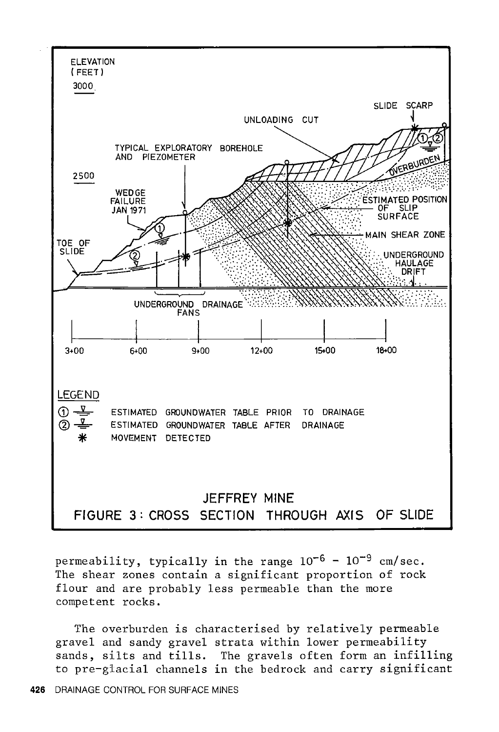

permeability, typically in the range  $10^{-6}$  -  $10^{-9}$  cm/sec. The shear zones contain a significant proportion of rock flour and are probably less permeable than the more competent rocks.

The overburden is characterised by relatively permeable gravel and sandy gravel strata within lower permeability sands, silts and tills. The gravels often form an infilling to pre-glacial channels in the bedrock and carry significant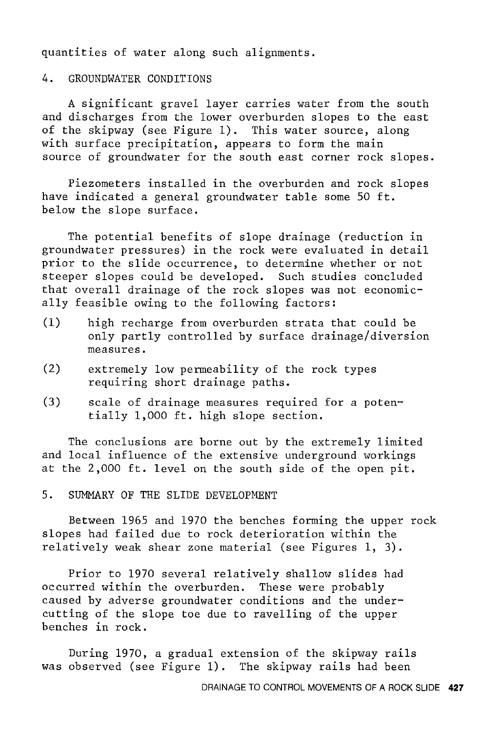quantities of water along such alignments.

#### 4. GROUNDWATER CONDITIONS

A significant gravel layer carries water from the south and discharges from the lower overburden slopes to the east of the skipway (see Figure 1). This water source, along with surface precipitation, appears to form the main source of groundwater for the south east corner rock slopes.

Piezometers installed in the overburden and rock slopes have indicated a general groundwater table some 50 ft. below the slope surface.

The potential benefits of slope drainage (reduction in groundwater pressures) in the rock were evaluated in detail prior to the slide occurrence, to determine whether or not steeper slopes could be developed. Such studies concluded that overall drainage of the rock slopes was not economically feasible owing to the following factors:

- (1) high recharge from overburden strata that could be only partly controlled by surface drainage/diversion measures.
- (2) extremely low permeability of the rock types requiring short drainage paths.
- (3) scale of drainage measures required for a potentially 1,000 ft. high slope section.

The conclusions are borne out by the extremely limited and local influence of the extensive underground workings at the 2,000 ft. level on the south side of the open pit.

5. SUMMARY OF THE SLIDE DEVELOPMENT

Between 1965 and 1970 the benches forming the upper rock slopes had failed due to rock deterioration within the relatively weak shear zone material (see Figures 1, 3).

Prior to 1970 several relatively shallow slides had occurred within the overburden. These were probably caused by adverse groundwater conditions and the undercutting of the slope toe due to ravelling of the upper benches in rock.

During 1970, a gradual extension of the skipway rails was observed (see Figure 1). The skipway rails had been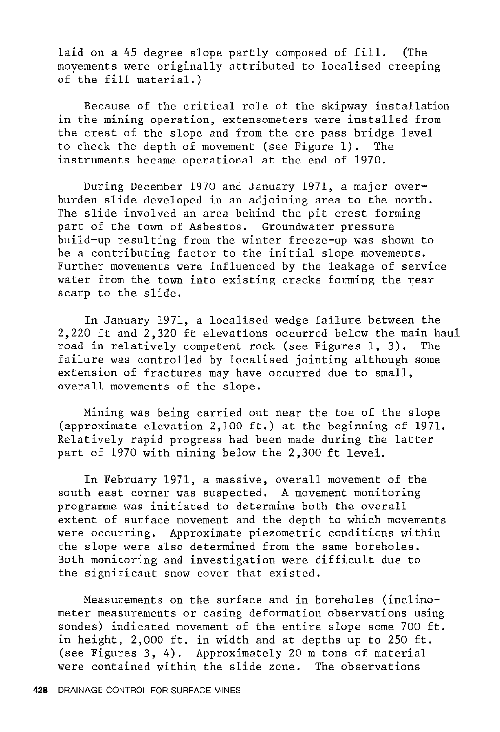laid on a 45 degree slope partly composed of fill. (The moyements were originally attributed to localised creeping of the fill material.)

Because of the critical role of the skipway installation in the mining operation, extensometers were installed from the crest of the slope and from the ore pass bridge level to check the depth of movement (see Figure 1). The instruments became operational at the end of 1970.

During December 1970 and January 1971, a major overburden slide developed in an adjoining area to the north. The slide involved an area behind the pit crest forming part of the town of Asbestos. Groundwater pressure build-up resulting from the winter freeze-up was shown to be a contributing factor to the initial slope movements. Further movements were influenced by the leakage of service water from the town into existing cracks forming the rear scarp to the slide.

In January 1971, a localised wedge failure between the 2,220 ft and  $2,320$  ft elevations occurred below the main haul road in relatively competent rock (see Figures 1, 3). The road in relatively competent rock (see Figures 1, 3). failure was controlled by localised jointing although some extension of fractures may have occurred due to small, overall movements of the slope.

Mining was being carried out near the toe of the slope (approximate elevation 2,100 ft.) at the beginning of 1971. Relatively rapid progress had been made during the latter part of 1970 with mining below the 2,300 ft level.

In February 1971, a massive, overall movement of the south east corner was suspected. A movement monitoring programme was initiated to determine both the overall extent of surface movement and the depth to which movements were occurring. Approximate piezometric conditions within the slope were also determined from the same boreholes. Both monitoring and investigation were difficult due to the significant snow cover that existed.

Measurements on the surface and in boreholes (inclinometer measurements or casing deformation observations using sondes) indicated movement of the entire slope some 700 ft. in height, 2,000 ft. in width and at depths up to 250 ft. (see Figures 3, 4). Approximately 20 m tons of material were contained within the slide zone. The observations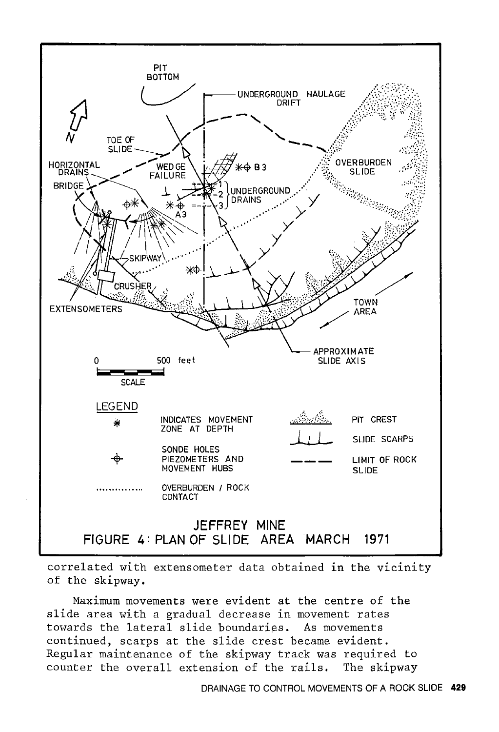

correlated with extensometer data obtained in the vicinity of the skipway.

Maximum movements were evident at the centre of the slide area with a gradual decrease in movement rates towards the lateral slide boundaries. As movements continued, scarps at the slide crest became evident. Regular maintenance of the skipway track was required to counter the overall extension of the rails. The skipway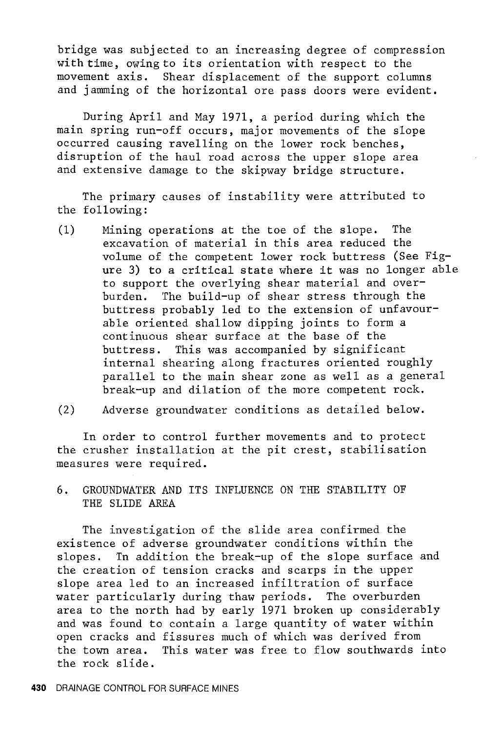bridge was subjected to an increasing degree of compression with time, owing to its orientation with respect to the movement axis. Shear displacement of the support columns and jamming of the horizontal ore pass doors were evident.

During April and May 1971, a period during which the main spring run-off occurs, major movements of the slope occurred causing ravelling on the lower rock benches, disruption of the haul road across the upper slope area and extensive damage to the skipway bridge structure.

The primary causes of instability were attributed to the following:

- (1) Mining operations at the toe of the slope. The excavation of material in this area reduced the volume of the competent lower rock buttress (See Figure 3) to a critical state where it was no longer able to support the overlying shear material and overburden. The build-up of shear stress through the buttress probably led to the extension of unfavourable oriented shallow dipping joints to form a continuous shear surface at the base of the buttress. This was accompanied by significant internal shearing along fractures oriented roughly parallel to the main shear zone as well as a general break-up and dilation of the more competent rock.
- (2) Adverse groundwater conditions as detailed below.

In order to control further movements and to protect the crusher installation at the pit crest, stabilisation measures were required.

6. GROUNDWATER AND ITS INFLUENCE ON THE STABILITY OF THE SLIDE AREA

The investigation of the slide area confirmed the existence of adverse groundwater conditions within the slopes. Tn addition the break-up of the slope surface and the creation of tension cracks and scarps in the upper slope area led to an increased infiltration of surface water particularly during thaw periods. The overburden area to the north had by early 1971 broken up considerably and was found to contain a large quantity of water within open cracks and fissures much of which was derived from the town area. This water was free to flow southwards into the rock slide.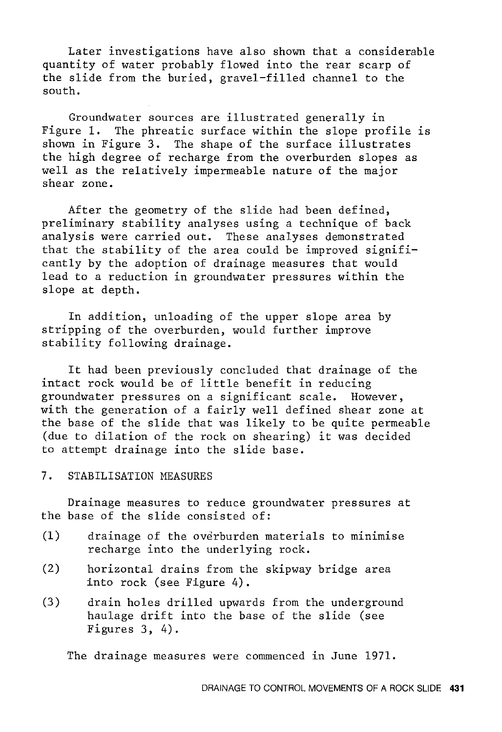Later investigations have also shown that a considerable quantity of water probably flowed into the rear scarp of the slide from the buried, gravel-filled channel to the south.

Groundwater sources are illustrated generally in Figure 1. The phreatic surface within the slope profile is shown in Figure 3. The shape of the surface illustrates the high degree of recharge from the overburden slopes as well as the relatively impermeable nature of the major shear zone.

After the geometry of the slide had been defined, preliminary stability analyses using a technique of back analysis were carried out. These analyses demonstrated that the stability of the area could be improved significantly by the adoption of drainage measures that would lead to a reduction in groundwater pressures within the slope at depth.

In addition, unloading of the upper slope area by stripping of the overburden, would further improve stability following drainage.

It had been previously concluded that drainage of the intact rock would be of little benefit in reducing groundwater pressures on a significant scale. However, with the generation of a fairly well defined shear zone at the base of the slide that was likely to be quite permeable (due to dilation of the rock on shearing) it was decided to attempt drainage into the slide base.

7. STABILISATION MEASURES

Drainage measures to reduce groundwater pressures at the base of the slide consisted of:

- (1) drainage of the overburden materials to minimise recharge into the underlying rock.
- (2) horizontal drains from the skipway bridge area into rock (see Figure 4).
- (3) drain holes drilled upwards from the underground haulage drift into the base of the slide (see Figures 3, 4).

The drainage measures were commenced in June 1971.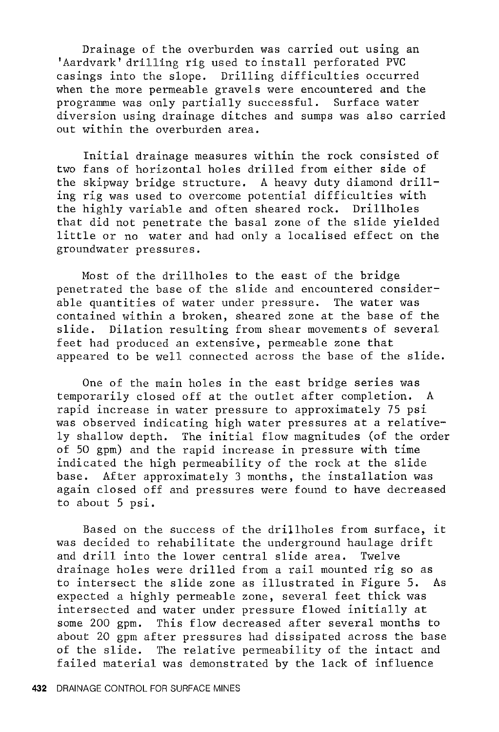Drainage of the overburden was carried out using an 'Aardvark' drilling rig used to install perforated PVC casings into the slope. Drilling difficulties occurred when the more permeable gravels were encountered and the<br>programme was only partially successful. Surface water programme was only partially successful. diversion using drainage ditches and sumps was also carried out within the overburden area.

Initial drainage measures within the rock consisted of two fans of horizontal holes drilled from either side of the skipway bridge structure. A heavy duty diamond drilling rig was used to overcome potential difficulties with the highly variable and often sheared rock. Drillholes that did not penetrate the basal zone of the slide yielded little or no water and had only a localised effect on the groundwater pressures.

Most of the drillholes to the east of the bridge penetrated the base of the slide and encountered considerable quantities of water under pressure. The water was contained within a broken, sheared zone at the base of the slide. Dilation resulting from shear movements of several feet had produced an extensive, permeable zone that appeared to be well connected across the base of the slide.

One of the main holes in the east bridge series was temporarily closed off at the outlet after completion. A rapid increase in water pressure to approximately 75 psi was observed indicating high water pressures at a relatively shallow depth. The initial flow magnitudes (of the order of 50 gpm) and the rapid increase in pressure with time indicated the high permeability of the rock at the slide base. After approximately 3 months, the installation was again closed off and pressures were found to have decreased to about 5 psi.

Based on the success of the drillholes from surface, it was decided to rehabilitate the underground haulage drift and drill into the lower central slide area. Twelve drainage holes were drilled from a rail mounted rig so as to intersect the slide zone as illustrated in Figure 5. As expected a highly permeable zone, several feet thick was intersected and water under pressure flowed initially at some 200 gpm. This flow decreased after several months to about 20 gpm after pressures had dissipated across the base of the slide. The relative permeability of the intact and failed material was demonstrated by the lack of influence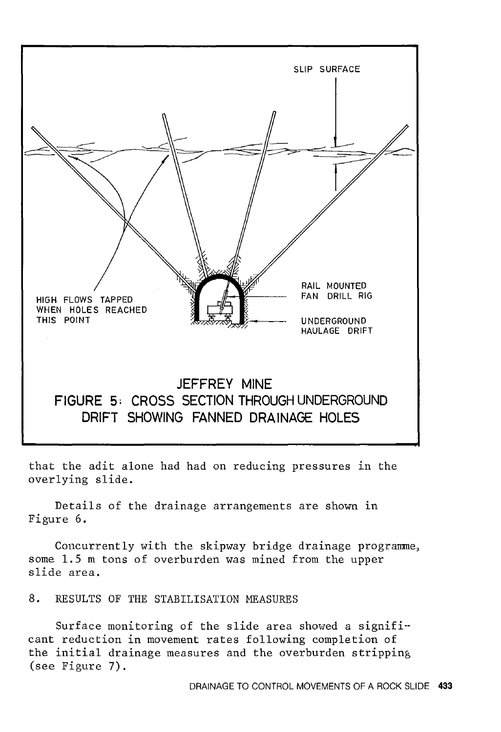

that the adit alone had had on reducing pressures in the overlying slide.

Details of the drainage arrangements are shown in Figure 6.

Concurrently with the skipway bridge drainage programme, some 1.5 m tons of overburden was mined from the upper slide area.

8. RESULTS OF THE STABILISATION MEASURES

Surface monitoring of the slide area showed a significant reduction in movement rates following completion of the initial drainage measures and the overburden stripping (see Figure 7).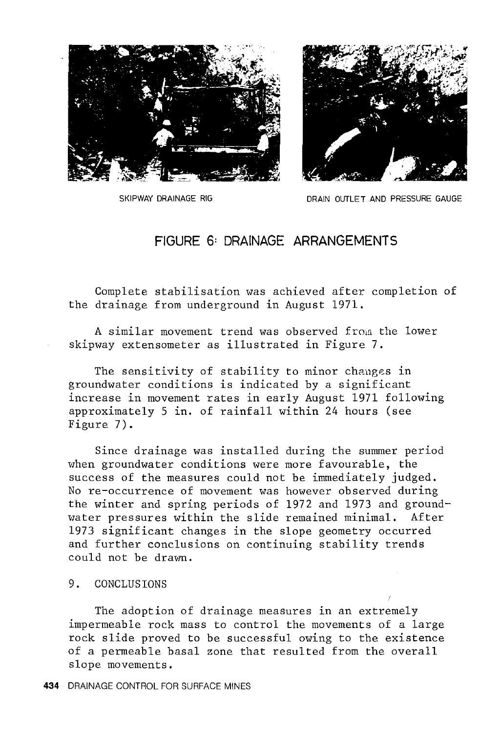



SKIPWAY DRAINAGE RIG **DRAIN OUTLET AND PRESSURE GAUGE** 

### **FIGURE 6: DRAINAGE ARRANGEMENTS**

Complete stabilisation was achieved after completion of the drainage from underground in August 1971.

A similar movement trend was observed from the lower skipway extensometer as illustrated in Figure 7.

The sensitivity of stability to minor changes in groundwater conditions is indicated by a significant increase in movement rates in early August 1971 following approximately 5 in. of rainfall within 24 hours (see Figure 7).

Since drainage was installed during the summer period when groundwater conditions were more favourable, the success of the measures could not be immediately judged. No re-occurrence of movement was however observed during the winter and spring periods of 1972 and 1973 and groundwater pressures within the slide remained minimal. After 1973 significant changes in the slope geometry occurred and further conclusions on continuing stability trends could not be dravm.

#### 9. CONCLUSIONS

The adoption of drainage measures in an extremely impermeable rock mass to control the movements of a large rock slide proved to be successful owing to the existence of a permeable basal zone that resulted from the overall slope movements.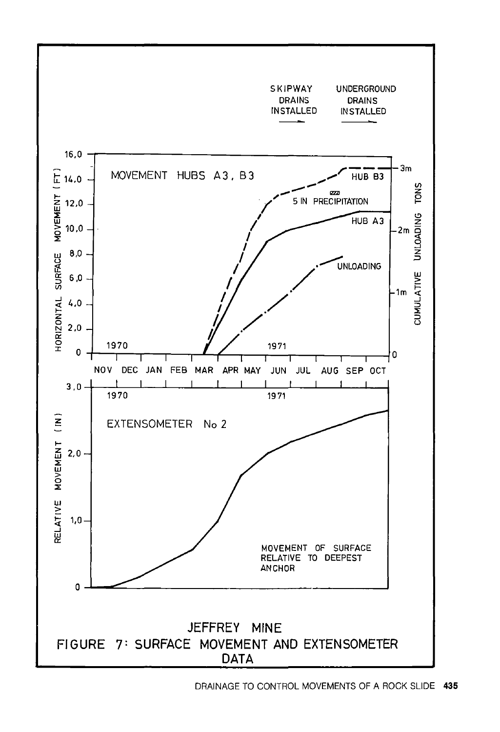

DRAINAGE TO CONTROL MOVEMENTS OF A ROCK SLIDE **435**